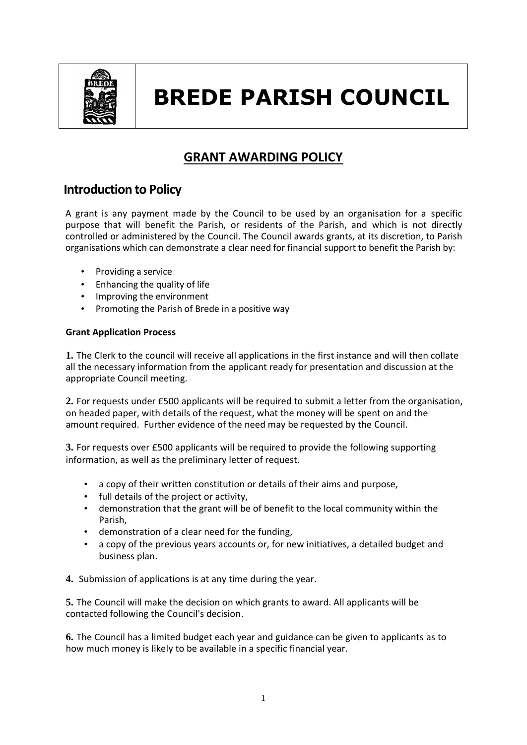

# **BREDE PARISH COUNCIL**

## **GRANT AWARDING POLICY**

## **Introduction to Policy**

A grant is any payment made by the Council to be used by an organisation for a specific purpose that will benefit the Parish, or residents of the Parish, and which is not directly controlled or administered by the Council. The Council awards grants, at its discretion, to Parish organisations which can demonstrate a clear need for financial support to benefit the Parish by:

- Providing a service
- Enhancing the quality of life
- Improving the environment
- Promoting the Parish of Brede in a positive way

### **Grant Application Process**

**1.** The Clerk to the council will receive all applications in the first instance and will then collate all the necessary information from the applicant ready for presentation and discussion at the appropriate Council meeting.

**2.** For requests under £500 applicants will be required to submit a letter from the organisation, on headed paper, with details of the request, what the money will be spent on and the amount required. Further evidence of the need may be requested by the Council.

**3.** For requests over £500 applicants will be required to provide the following supporting information, as well as the preliminary letter of request.

- a copy of their written constitution or details of their aims and purpose,
- full details of the project or activity,
- demonstration that the grant will be of benefit to the local community within the Parish,
- demonstration of a clear need for the funding,
- a copy of the previous years accounts or, for new initiatives, a detailed budget and business plan.

**4.** Submission of applications is at any time during the year.

**5.** The Council will make the decision on which grants to award. All applicants will be contacted following the Council's decision.

**6.** The Council has a limited budget each year and guidance can be given to applicants as to how much money is likely to be available in a specific financial year.